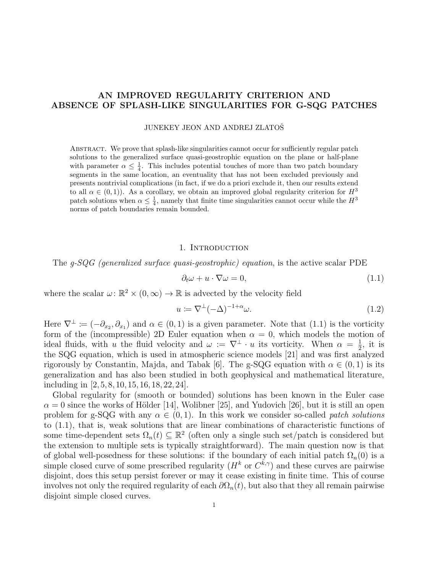# AN IMPROVED REGULARITY CRITERION AND ABSENCE OF SPLASH-LIKE SINGULARITIES FOR G-SQG PATCHES

### JUNEKEY JEON AND ANDREJ ZLATOSˇ

Abstract. We prove that splash-like singularities cannot occur for sufficiently regular patch solutions to the generalized surface quasi-geostrophic equation on the plane or half-plane with parameter  $\alpha \leq \frac{1}{4}$ . This includes potential touches of more than two patch boundary segments in the same location, an eventuality that has not been excluded previously and presents nontrivial complications (in fact, if we do a priori exclude it, then our results extend to all  $\alpha \in (0,1)$ ). As a corollary, we obtain an improved global regularity criterion for  $H^3$ patch solutions when  $\alpha \leq \frac{1}{4}$ , namely that finite time singularities cannot occur while the  $H^3$ norms of patch boundaries remain bounded.

### 1. INTRODUCTION

The g-SQG (generalized surface quasi-geostrophic) equation, is the active scalar PDE

<span id="page-0-0"></span>
$$
\partial_t \omega + u \cdot \nabla \omega = 0,\tag{1.1}
$$

where the scalar  $\omega: \mathbb{R}^2 \times (0, \infty) \to \mathbb{R}$  is advected by the velocity field

<span id="page-0-1"></span>
$$
u := \nabla^{\perp}(-\Delta)^{-1+\alpha}\omega.
$$
\n(1.2)

Here  $\nabla^{\perp} \coloneqq (-\partial_{x_2}, \partial_{x_1})$  and  $\alpha \in (0, 1)$  is a given parameter. Note that  $(1.1)$  is the vorticity form of the (incompressible) 2D Euler equation when  $\alpha = 0$ , which models the motion of ideal fluids, with u the fluid velocity and  $\omega := \nabla^{\perp} \cdot u$  its vorticity. When  $\alpha = \frac{1}{2}$  $\frac{1}{2}$ , it is the SQG equation, which is used in atmospheric science models [\[21\]](#page-13-0) and was first analyzed rigorously by Constantin, Majda, and Tabak [\[6\]](#page-12-0). The g-SQG equation with  $\alpha \in (0,1)$  is its generalization and has also been studied in both geophysical and mathematical literature, including in [\[2,](#page-12-1) [5,](#page-12-2) [8,](#page-12-3) [10,](#page-12-4) [15,](#page-13-1) [16,](#page-13-2) [18,](#page-13-3) [22,](#page-13-4) [24\]](#page-13-5).

Global regularity for (smooth or bounded) solutions has been known in the Euler case  $\alpha = 0$  since the works of Hölder [\[14\]](#page-13-6), Wolibner [\[25\]](#page-13-7), and Yudovich [\[26\]](#page-13-8), but it is still an open problem for g-SQG with any  $\alpha \in (0,1)$ . In this work we consider so-called *patch solutions* to [\(1.1\)](#page-0-0), that is, weak solutions that are linear combinations of characteristic functions of some time-dependent sets  $\Omega_n(t) \subseteq \mathbb{R}^2$  (often only a single such set/patch is considered but the extension to multiple sets is typically straightforward). The main question now is that of global well-posedness for these solutions: if the boundary of each initial patch  $\Omega_n(0)$  is a simple closed curve of some prescribed regularity  $(H<sup>k</sup>$  or  $C<sup>k,\gamma</sup>)$  and these curves are pairwise disjoint, does this setup persist forever or may it cease existing in finite time. This of course involves not only the required regularity of each  $\partial\Omega_n(t)$ , but also that they all remain pairwise disjoint simple closed curves.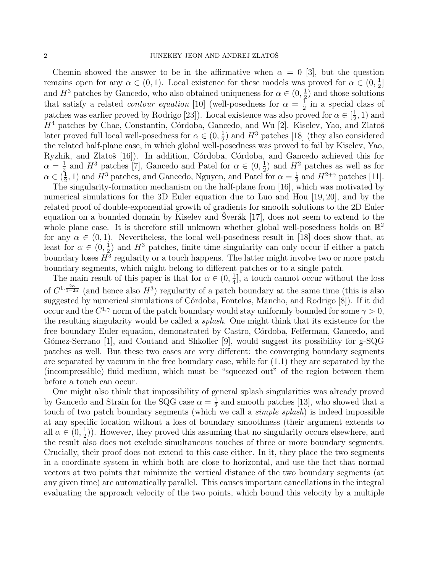Chemin showed the answer to be in the affirmative when  $\alpha = 0$  [\[3\]](#page-12-5), but the question remains open for any  $\alpha \in (0,1)$ . Local existence for these models was proved for  $\alpha \in (0, \frac{1}{2})$  $\frac{1}{2}]$ and  $H^3$  patches by Gancedo, who also obtained uniqueness for  $\alpha \in (0, \frac{1}{2})$  $(\frac{1}{2})$  and those solutions that satisfy a related *contour equation* [\[10\]](#page-12-4) (well-posedness for  $\alpha = \frac{1}{2}$  $\frac{1}{2}$  in a special class of patches was earlier proved by Rodrigo [\[23\]](#page-13-9)). Local existence was also proved for  $\alpha \in \left[\frac{1}{2}\right]$  $(\frac{1}{2}, 1)$  and  $H<sup>4</sup>$  patches by Chae, Constantin, Córdoba, Gancedo, and Wu [\[2\]](#page-12-1). Kiselev, Yao, and Zlatoš later proved full local well-posedness for  $\alpha \in (0, \frac{1}{2})$  $\frac{1}{2}$ ) and  $H^3$  patches [\[18\]](#page-13-3) (they also considered the related half-plane case, in which global well-posedness was proved to fail by Kiselev, Yao, Ryzhik, and Zlatoš [\[16\]](#page-13-2)). In addition, Córdoba, Córdoba, and Gancedo achieved this for  $\alpha = \frac{1}{2}$  $\frac{1}{2}$  and  $H^3$  patches [\[7\]](#page-12-6), Gancedo and Patel for  $\alpha \in (0, \frac{1}{2})$  $(\frac{1}{2})$  and  $H^2$  patches as well as for  $\alpha \in (\frac{1}{2})$  $(\frac{1}{2}, 1)$  and  $H^3$  patches, and Gancedo, Nguyen, and Patel for  $\alpha = \frac{1}{2}$  $\frac{1}{2}$  and  $H^{2+\gamma}$  patches [\[11\]](#page-12-7).

The singularity-formation mechanism on the half-plane from [\[16\]](#page-13-2), which was motivated by numerical simulations for the 3D Euler equation due to Luo and Hou [\[19,](#page-13-10) [20\]](#page-13-11), and by the related proof of double-exponential growth of gradients for smooth solutions to the 2D Euler equation on a bounded domain by Kiselev and Šverák [\[17\]](#page-13-12), does not seem to extend to the whole plane case. It is therefore still unknown whether global well-posedness holds on  $\mathbb{R}^2$ for any  $\alpha \in (0,1)$ . Nevertheless, the local well-posedness result in [\[18\]](#page-13-3) does show that, at least for  $\alpha \in (0, \frac{1}{2})$  $\frac{1}{2}$ ) and  $H^3$  patches, finite time singularity can only occur if either a patch boundary loses  $H^3$  regularity or a touch happens. The latter might involve two or more patch boundary segments, which might belong to different patches or to a single patch.

The main result of this paper is that for  $\alpha \in (0, \frac{1}{4})$  $\frac{1}{4}$ , a touch cannot occur without the loss of  $C^{1,\frac{2\alpha}{1-2\alpha}}$  (and hence also  $H^3$ ) regularity of a patch boundary at the same time (this is also suggested by numerical simulations of Córdoba, Fontelos, Mancho, and Rodrigo [\[8\]](#page-12-3)). If it did occur and the  $C^{1,\gamma}$  norm of the patch boundary would stay uniformly bounded for some  $\gamma > 0$ , the resulting singularity would be called a *splash*. One might think that its existence for the free boundary Euler equation, demonstrated by Castro, Córdoba, Fefferman, Gancedo, and Gómez-Serrano [\[1\]](#page-12-8), and Coutand and Shkoller [\[9\]](#page-12-9), would suggest its possibility for  $g$ -SQG patches as well. But these two cases are very different: the converging boundary segments are separated by vacuum in the free boundary case, while for [\(1.1\)](#page-0-0) they are separated by the (incompressible) fluid medium, which must be "squeezed out" of the region between them before a touch can occur.

One might also think that impossibility of general splash singularities was already proved by Gancedo and Strain for the SQG case  $\alpha = \frac{1}{2}$  $\frac{1}{2}$  and smooth patches [\[13\]](#page-12-10), who showed that a touch of two patch boundary segments (which we call a *simple splash*) is indeed impossible at any specific location without a loss of boundary smoothness (their argument extends to all  $\alpha \in (0, \frac{1}{2})$  $(\frac{1}{2})$ ). However, they proved this assuming that no singularity occurs elsewhere, and the result also does not exclude simultaneous touches of three or more boundary segments. Crucially, their proof does not extend to this case either. In it, they place the two segments in a coordinate system in which both are close to horizontal, and use the fact that normal vectors at two points that minimize the vertical distance of the two boundary segments (at any given time) are automatically parallel. This causes important cancellations in the integral evaluating the approach velocity of the two points, which bound this velocity by a multiple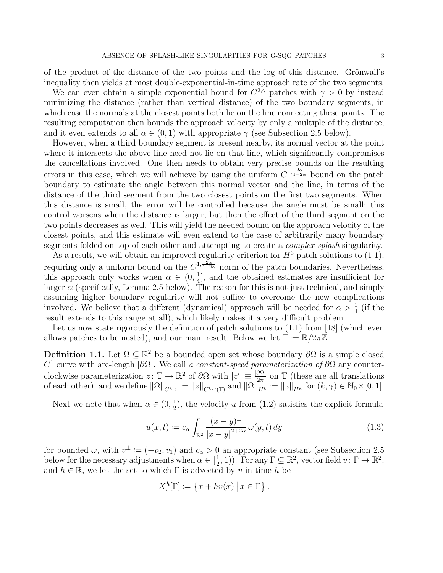of the product of the distance of the two points and the log of this distance. Grönwall's inequality then yields at most double-exponential-in-time approach rate of the two segments.

We can even obtain a simple exponential bound for  $C^{2,\gamma}$  patches with  $\gamma > 0$  by instead minimizing the distance (rather than vertical distance) of the two boundary segments, in which case the normals at the closest points both lie on the line connecting these points. The resulting computation then bounds the approach velocity by only a multiple of the distance, and it even extends to all  $\alpha \in (0,1)$  with appropriate  $\gamma$  (see Subsection [2.5](#page-10-0) below).

However, when a third boundary segment is present nearby, its normal vector at the point where it intersects the above line need not lie on that line, which significantly compromises the cancellations involved. One then needs to obtain very precise bounds on the resulting errors in this case, which we will achieve by using the uniform  $C^{1,\frac{2\alpha}{1-2\alpha}}$  bound on the patch boundary to estimate the angle between this normal vector and the line, in terms of the distance of the third segment from the two closest points on the first two segments. When this distance is small, the error will be controlled because the angle must be small; this control worsens when the distance is larger, but then the effect of the third segment on the two points decreases as well. This will yield the needed bound on the approach velocity of the closest points, and this estimate will even extend to the case of arbitrarily many boundary segments folded on top of each other and attempting to create a *complex splash* singularity.

As a result, we will obtain an improved regularity criterion for  $H^3$  patch solutions to [\(1.1\)](#page-0-0), requiring only a uniform bound on the  $C^{1,\frac{2\alpha}{1-2\alpha}}$  norm of the patch boundaries. Nevertheless, this approach only works when  $\alpha \in (0, \frac{1}{4})$  $\frac{1}{4}$ , and the obtained estimates are insufficient for larger  $\alpha$  (specifically, Lemma [2.5](#page-9-0) below). The reason for this is not just technical, and simply assuming higher boundary regularity will not suffice to overcome the new complications involved. We believe that a different (dynamical) approach will be needed for  $\alpha > \frac{1}{4}$  (if the result extends to this range at all), which likely makes it a very difficult problem.

Let us now state rigorously the definition of patch solutions to  $(1.1)$  from [\[18\]](#page-13-3) (which even allows patches to be nested), and our main result. Below we let  $\mathbb{T} := \mathbb{R}/2\pi\mathbb{Z}$ .

**Definition 1.1.** Let  $\Omega \subseteq \mathbb{R}^2$  be a bounded open set whose boundary  $\partial\Omega$  is a simple closed  $C<sup>1</sup>$  curve with arc-length  $|\partial\Omega|$ . We call a constant-speed parameterization of  $\partial\Omega$  any counterclockwise parameterization  $z: \mathbb{T} \to \mathbb{R}^2$  of  $\partial\Omega$  with  $|z'| \equiv \frac{|\partial\Omega|}{2\pi}$  on  $\mathbb{T}$  (these are all translations of each other), and we define  $\|\Omega\|_{C^{k,\gamma}} := \|z\|_{C^{k,\gamma}(\mathbb{T})}$  and  $\|\Omega\|_{H^k}^{\alpha} := \|z\|_{H^k}$  for  $(k,\gamma) \in \mathbb{N}_0 \times [0,1].$ 

Next we note that when  $\alpha \in (0, \frac{1}{2})$  $\frac{1}{2}$ , the velocity u from [\(1.2\)](#page-0-1) satisfies the explicit formula

<span id="page-2-0"></span>
$$
u(x,t) := c_{\alpha} \int_{\mathbb{R}^2} \frac{(x-y)^{\perp}}{|x-y|^{2+2\alpha}} \,\omega(y,t) \,dy \tag{1.3}
$$

for bounded  $\omega$ , with  $v^{\perp} := (-v_2, v_1)$  and  $c_{\alpha} > 0$  an appropriate constant (see Subsection [2.5](#page-10-0)) below for the necessary adjustments when  $\alpha \in \left[\frac{1}{2}\right]$  $(\frac{1}{2}, 1)$ ). For any  $\Gamma \subseteq \mathbb{R}^2$ , vector field  $v: \Gamma \to \mathbb{R}^2$ , and  $h \in \mathbb{R}$ , we let the set to which  $\Gamma$  is advected by v in time h be

$$
X_v^h[\Gamma] \coloneqq \{x + hv(x) \, \big| \, x \in \Gamma \} \, .
$$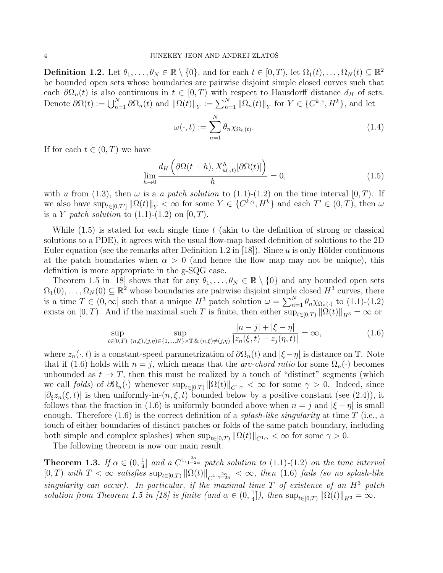<span id="page-3-3"></span>**Definition 1.2.** Let  $\theta_1, \ldots, \theta_N \in \mathbb{R} \setminus \{0\}$ , and for each  $t \in [0, T)$ , let  $\Omega_1(t), \ldots, \Omega_N(t) \subseteq \mathbb{R}^2$ be bounded open sets whose boundaries are pairwise disjoint simple closed curves such that each  $\partial\Omega_n(t)$  is also continuous in  $t \in [0, T)$  with respect to Hausdorff distance  $d_H$  of sets. Denote  $\partial\Omega(t) := \bigcup_{n=1}^N \partial\Omega_n(t)$  and  $\|\Omega(t)\|_Y := \sum_{n=1}^N \|\Omega_n(t)\|_Y$  for  $Y \in \{C^{k,\gamma}, H^k\}$ , and let

$$
\omega(\cdot,t) := \sum_{n=1}^{N} \theta_n \chi_{\Omega_n(t)}.
$$
\n(1.4)

If for each  $t \in (0, T)$  we have

<span id="page-3-0"></span>
$$
\lim_{h \to 0} \frac{d_H\left(\partial \Omega(t+h), X_{u(\cdot,t)}^h[\partial \Omega(t)]\right)}{h} = 0,
$$
\n(1.5)

with u from [\(1.3\)](#page-2-0), then  $\omega$  is a a patch solution to [\(1.1\)](#page-0-0)-[\(1.2\)](#page-0-1) on the time interval [0, T]. If we also have  $\sup_{t\in[0,T']} \|\Omega(t)\|_{Y} < \infty$  for some  $Y \in \{C^{k,\gamma}, H^k\}$  and each  $T' \in (0,T)$ , then  $\omega$ is a Y patch solution to  $(1.1)$ - $(1.2)$  on  $[0, T)$ .

While  $(1.5)$  is stated for each single time t (akin to the definition of strong or classical solutions to a PDE), it agrees with the usual flow-map based definition of solutions to the 2D Euler equation (see the remarks after Definition 1.2 in [\[18\]](#page-13-3)). Since  $u$  is only Hölder continuous at the patch boundaries when  $\alpha > 0$  (and hence the flow map may not be unique), this definition is more appropriate in the g-SQG case.

Theorem 1.5 in [\[18\]](#page-13-3) shows that for any  $\theta_1, \ldots, \theta_N \in \mathbb{R} \setminus \{0\}$  and any bounded open sets  $\Omega_1(0), \ldots, \Omega_N(0) \subseteq \mathbb{R}^2$  whose boundaries are pairwise disjoint simple closed  $H^3$  curves, there is a time  $T \in (0, \infty]$  such that a unique  $H^3$  patch solution  $\omega = \sum_{n=1}^{N} \theta_n \chi_{\Omega_n(\cdot)}$  to  $(1.1)-(1.2)$  $(1.1)-(1.2)$ exists on [0, T). And if the maximal such T is finite, then either  $\sup_{t\in[0,T)}||\Omega(t)||_{H^3} = \infty$  or

<span id="page-3-1"></span>
$$
\sup_{t \in [0,T)} \sup_{(n,\xi),(j,\eta) \in \{1,\dots,N\} \times \mathbb{T}} \frac{|n-j| + |\xi - \eta|}{|z_n(\xi,t) - z_j(\eta,t)|} = \infty, \tag{1.6}
$$

where  $z_n(\cdot, t)$  is a constant-speed parametrization of  $\partial\Omega_n(t)$  and  $|\xi-\eta|$  is distance on T. Note that if [\(1.6\)](#page-3-1) holds with  $n = j$ , which means that the *arc-chord ratio* for some  $\Omega_n(\cdot)$  becomes unbounded as  $t \to T$ , then this must be realized by a touch of "distinct" segments (which we call folds) of  $\partial\Omega_n(\cdot)$  whenever  $\sup_{t\in[0,T)} ||\Omega(t)||_{C^{1,\gamma}} < \infty$  for some  $\gamma > 0$ . Indeed, since  $|\partial_{\xi}z_{n}(\xi, t)|$  is then uniformly-in- $(n, \xi, t)$  bounded below by a positive constant (see [\(2.4\)](#page-5-0)), it follows that the fraction in [\(1.6\)](#page-3-1) is uniformly bounded above when  $n = j$  and  $|\xi - \eta|$  is small enough. Therefore  $(1.6)$  is the correct definition of a *splash-like singularity* at time T (i.e., a touch of either boundaries of distinct patches or folds of the same patch boundary, including both simple and complex splashes) when  $\sup_{t\in[0,T)} \|\Omega(t)\|_{C^{1,\gamma}} < \infty$  for some  $\gamma > 0$ .

The following theorem is now our main result.

<span id="page-3-2"></span>Theorem 1.3. If  $\alpha \in (0, \frac{1}{4})$  $\frac{1}{4}$ ] and a  $C^{1,\frac{2\alpha}{1-2\alpha}}$  patch solution to  $(1.1)-(1.2)$  $(1.1)-(1.2)$  $(1.1)-(1.2)$  on the time interval  $[0, T)$  with  $T < \infty$  satisfies  $\sup_{t \in [0,T)} \|\Omega(t)\|_{C^{1, \frac{2\alpha}{1-2\alpha}}} < \infty$ , then [\(1.6\)](#page-3-1) fails (so no splash-like singularity can occur). In particular, if the maximal time  $T$  of existence of an  $H^3$  patch solution from Theorem 1.5 in [\[18\]](#page-13-3) is finite (and  $\alpha \in (0, \frac{1}{4})$  $\frac{1}{4}$ ]), then  $\sup_{t \in [0,T)} ||\Omega(t)||_{H^3} = \infty$ .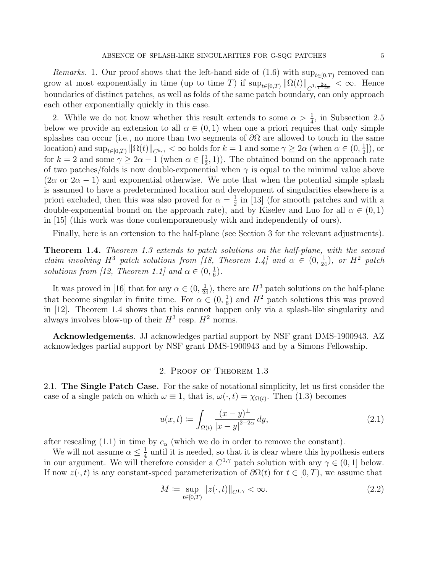*Remarks.* 1. Our proof shows that the left-hand side of  $(1.6)$  with  $\sup_{t\in[0,T)}$  removed can grow at most exponentially in time (up to time T) if  $\sup_{t\in[0,T)} \|\Omega(t)\|_{C^{1,\frac{2\alpha}{1-2\alpha}}}<\infty$ . Hence boundaries of distinct patches, as well as folds of the same patch boundary, can only approach each other exponentially quickly in this case.

2. While we do not know whether this result extends to some  $\alpha > \frac{1}{4}$ , in Subsection [2.5](#page-10-0) below we provide an extension to all  $\alpha \in (0,1)$  when one a priori requires that only simple splashes can occur (i.e., no more than two segments of  $\partial\Omega$  are allowed to touch in the same location) and  $\sup_{t\in[0,T)} \|\Omega(t)\|_{C^{k,\gamma}} < \infty$  holds for  $k=1$  and some  $\gamma \ge 2\alpha$  (when  $\alpha \in (0, \frac{1}{2})$  $\frac{1}{2}$ ), or for  $k = 2$  and some  $\gamma \geq 2\alpha - 1$  (when  $\alpha \in \left[\frac{1}{2}\right]$  $(\frac{1}{2}, 1)$ ). The obtained bound on the approach rate of two patches/folds is now double-exponential when  $\gamma$  is equal to the minimal value above  $(2\alpha \text{ or } 2\alpha - 1)$  and exponential otherwise. We note that when the potential simple splash is assumed to have a predetermined location and development of singularities elsewhere is a priori excluded, then this was also proved for  $\alpha = \frac{1}{2}$  $\frac{1}{2}$  in [\[13\]](#page-12-10) (for smooth patches and with a double-exponential bound on the approach rate), and by Kiselev and Luo for all  $\alpha \in (0,1)$ in [\[15\]](#page-13-1) (this work was done contemporaneously with and independently of ours).

Finally, here is an extension to the half-plane (see Section [3](#page-11-0) for the relevant adjustments).

<span id="page-4-0"></span>Theorem 1.4. Theorem [1.3](#page-3-2) extends to patch solutions on the half-plane, with the second claim involving  $H^3$  patch solutions from [\[18,](#page-13-3) Theorem 1.4] and  $\alpha \in (0, \frac{1}{24})$ , or  $H^2$  patch solutions from [\[12,](#page-12-11) Theorem 1.1] and  $\alpha \in (0, \frac{1}{6})$  $\frac{1}{6}$ .

It was proved in [\[16\]](#page-13-2) that for any  $\alpha \in (0, \frac{1}{24})$ , there are  $H^3$  patch solutions on the half-plane that become singular in finite time. For  $\alpha \in (0, \frac{1}{6})$  $\frac{1}{6}$ ) and  $H^2$  patch solutions this was proved in [\[12\]](#page-12-11). Theorem [1.4](#page-4-0) shows that this cannot happen only via a splash-like singularity and always involves blow-up of their  $H^3$  resp.  $H^2$  norms.

Acknowledgements. JJ acknowledges partial support by NSF grant DMS-1900943. AZ acknowledges partial support by NSF grant DMS-1900943 and by a Simons Fellowship.

### 2. Proof of Theorem [1.3](#page-3-2)

<span id="page-4-3"></span>2.1. The Single Patch Case. For the sake of notational simplicity, let us first consider the case of a single patch on which  $\omega \equiv 1$ , that is,  $\omega(\cdot, t) = \chi_{\Omega(t)}$ . Then [\(1.3\)](#page-2-0) becomes

<span id="page-4-2"></span>
$$
u(x,t) := \int_{\Omega(t)} \frac{(x-y)^{\perp}}{|x-y|^{2+2\alpha}} dy,
$$
\n(2.1)

after rescaling [\(1.1\)](#page-0-0) in time by  $c_{\alpha}$  (which we do in order to remove the constant).

We will not assume  $\alpha \leq \frac{1}{4}$  $\frac{1}{4}$  until it is needed, so that it is clear where this hypothesis enters in our argument. We will therefore consider a  $C^{1,\gamma}$  patch solution with any  $\gamma \in (0,1]$  below. If now  $z(\cdot, t)$  is any constant-speed parameterization of  $\partial \Omega(t)$  for  $t \in [0, T)$ , we assume that

<span id="page-4-1"></span>
$$
M := \sup_{t \in [0,T)} ||z(\cdot, t)||_{C^{1,\gamma}} < \infty.
$$
\n(2.2)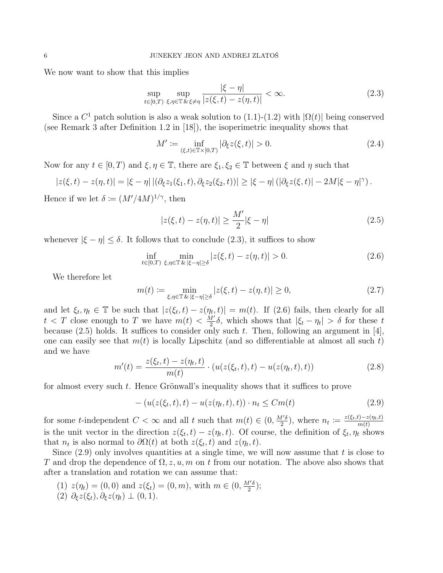We now want to show that this implies

<span id="page-5-1"></span>
$$
\sup_{t \in [0,T)} \sup_{\xi, \eta \in \mathbb{T}} \frac{|\xi - \eta|}{|z(\xi, t) - z(\eta, t)|} < \infty. \tag{2.3}
$$

Since a  $C^1$  patch solution is also a weak solution to [\(1.1\)](#page-0-0)-[\(1.2\)](#page-0-1) with  $|\Omega(t)|$  being conserved (see Remark 3 after Definition 1.2 in [\[18\]](#page-13-3)), the isoperimetric inequality shows that

<span id="page-5-0"></span>
$$
M' := \inf_{(\xi, t) \in \mathbb{T} \times [0, T)} |\partial_{\xi} z(\xi, t)| > 0.
$$
 (2.4)

Now for any  $t \in [0, T)$  and  $\xi, \eta \in \mathbb{T}$ , there are  $\xi_1, \xi_2 \in \mathbb{T}$  between  $\xi$  and  $\eta$  such that

$$
|z(\xi,t)-z(\eta,t)|=|\xi-\eta|\left|(\partial_{\xi}z_1(\xi_1,t),\partial_{\xi}z_2(\xi_2,t)\right)\right|\geq |\xi-\eta|\left(|\partial_{\xi}z(\xi,t)|-2M|\xi-\eta|^{\gamma}\right).
$$

Hence if we let  $\delta \coloneqq (M'/4M)^{1/\gamma}$ , then

<span id="page-5-3"></span>
$$
|z(\xi, t) - z(\eta, t)| \ge \frac{M'}{2} |\xi - \eta|
$$
\n(2.5)

whenever  $|\xi - \eta| \leq \delta$ . It follows that to conclude [\(2.3\)](#page-5-1), it suffices to show

<span id="page-5-2"></span>
$$
\inf_{t \in [0,T)} \min_{\xi, \eta \in \mathbb{T}} \min_{\xi \in [\xi - \eta] \ge \delta} |z(\xi, t) - z(\eta, t)| > 0. \tag{2.6}
$$

We therefore let

<span id="page-5-5"></span>
$$
m(t) := \min_{\xi, \eta \in \mathbb{T}} \min_{\xi \in |\xi - \eta| \ge \delta} |z(\xi, t) - z(\eta, t)| \ge 0,
$$
\n(2.7)

and let  $\xi_t, \eta_t \in \mathbb{T}$  be such that  $|z(\xi_t, t) - z(\eta_t, t)| = m(t)$ . If [\(2.6\)](#page-5-2) fails, then clearly for all  $t < T$  close enough to T we have  $m(t) < \frac{M'}{2}$  $\frac{d'}{2}\delta$ , which shows that  $|\xi_t - \eta_t| > \delta$  for these t because  $(2.5)$  holds. It suffices to consider only such t. Then, following an argument in [\[4\]](#page-12-12), one can easily see that  $m(t)$  is locally Lipschitz (and so differentiable at almost all such t) and we have

$$
m'(t) = \frac{z(\xi_t, t) - z(\eta_t, t)}{m(t)} \cdot (u(z(\xi_t, t), t) - u(z(\eta_t, t), t))
$$
\n(2.8)

for almost every such  $t$ . Hence Grönwall's inequality shows that it suffices to prove

<span id="page-5-4"></span>
$$
- (u(z(\xi_t, t), t) - u(z(\eta_t, t), t)) \cdot n_t \leq Cm(t)
$$
\n(2.9)

for some t-independent  $C < \infty$  and all t such that  $m(t) \in (0, \frac{M'\delta}{2})$  $\frac{f'\delta}{2}$ , where  $n_t \coloneqq \frac{z(\xi_t,t)-z(\eta_t,t)}{m(t)}$  $m(t)$ is the unit vector in the direction  $z(\xi_t,t) - z(\eta_t,t)$ . Of course, the definition of  $\xi_t, \eta_t$  shows that  $n_t$  is also normal to  $\partial \Omega(t)$  at both  $z(\xi_t, t)$  and  $z(\eta_t, t)$ .

Since  $(2.9)$  only involves quantities at a single time, we will now assume that t is close to T and drop the dependence of  $\Omega$ , z, u, m on t from our notation. The above also shows that after a translation and rotation we can assume that:

- (1)  $z(\eta_t) = (0,0)$  and  $z(\xi_t) = (0,m)$ , with  $m \in (0, \frac{M'\delta}{2})$  $\frac{l'\delta}{2}$ );
- (2)  $\partial_{\xi}z(\xi_t), \partial_{\xi}z(\eta_t) \perp (0,1).$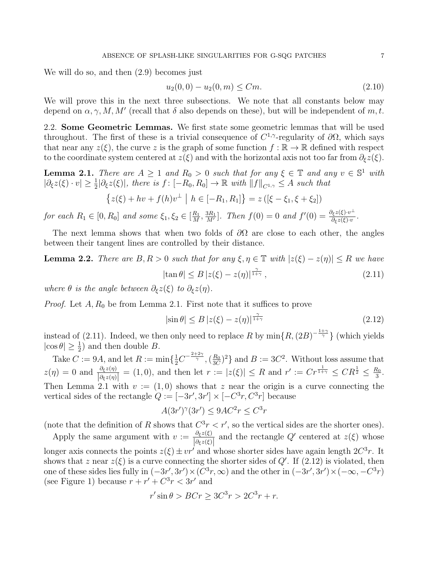We will do so, and then [\(2.9\)](#page-5-4) becomes just

<span id="page-6-4"></span>
$$
u_2(0,0) - u_2(0,m) \le Cm. \tag{2.10}
$$

We will prove this in the next three subsections. We note that all constants below may depend on  $\alpha, \gamma, M, M'$  (recall that  $\delta$  also depends on these), but will be independent of m, t.

2.2. Some Geometric Lemmas. We first state some geometric lemmas that will be used throughout. The first of these is a trivial consequence of  $C^{1,\gamma}$ -regularity of  $\partial\Omega$ , which says that near any  $z(\xi)$ , the curve z is the graph of some function  $f : \mathbb{R} \to \mathbb{R}$  defined with respect to the coordinate system centered at  $z(\xi)$  and with the horizontal axis not too far from  $\partial_{\xi}z(\xi)$ .

<span id="page-6-0"></span>**Lemma 2.1.** There are  $A \geq 1$  and  $R_0 > 0$  such that for any  $\xi \in \mathbb{T}$  and any  $v \in \mathbb{S}^1$  with  $|\partial_{\xi}z(\xi)\cdot v|\geq \frac{1}{2}|\partial_{\xi}z(\xi)|$ , there is  $f:[-R_0,R_0]\to\mathbb{R}$  with  $||f||_{C^{1,\gamma}}\leq A$  such that

$$
\{z(\xi) + hv + f(h)v^{\perp} \mid h \in [-R_1, R_1] \} = z([\xi - \xi_1, \xi + \xi_2])
$$

for each  $R_1 \in [0, R_0]$  and some  $\xi_1, \xi_2 \in [\frac{R_1}{M}]$  $\frac{R_1}{M}, \frac{3R_1}{M'}$  $\frac{\partial R_1}{\partial M'}$ ]. Then  $f(0) = 0$  and  $f'(0) = \frac{\partial_{\xi} z(\xi) \cdot v^{\perp}}{\partial_{\xi} z(\xi) \cdot v}$ .

The next lemma shows that when two folds of  $\partial\Omega$  are close to each other, the angles between their tangent lines are controlled by their distance.

## <span id="page-6-3"></span>**Lemma 2.2.** There are  $B, R > 0$  such that for any  $\xi, \eta \in \mathbb{T}$  with  $|z(\xi) - z(\eta)| \leq R$  we have  $|\tan \theta| \leq B |z(\xi) - z(\eta)|^{\frac{\gamma}{1+\gamma}}$  $(2.11)$

where  $\theta$  is the angle between  $\partial_{\xi}z(\xi)$  to  $\partial_{\xi}z(\eta)$ .

*Proof.* Let  $A, R_0$  be from Lemma [2.1.](#page-6-0) First note that it suffices to prove

<span id="page-6-2"></span><span id="page-6-1"></span>
$$
|\sin \theta| \le B \left| z(\xi) - z(\eta) \right|^{\frac{\gamma}{1+\gamma}} \tag{2.12}
$$

instead of [\(2.11\)](#page-6-1). Indeed, we then only need to replace R by  $\min\{R,(2B)^{-\frac{1+\gamma}{\gamma}}\}$  (which yields  $|\cos \theta| \geq \frac{1}{2}$  and then double B. 2

Take  $C := 9A$ , and let  $R := \min\{\frac{1}{2}C^{-\frac{2+2\gamma}{\gamma}}, \left(\frac{R_0}{3C}\right)$  $\frac{R_0}{3C}$  and  $B := 3C^2$ . Without loss assume that  $z(\eta) = 0$  and  $\frac{\partial_{\xi}z(\eta)}{\partial_{\xi}z(\eta)} = (1,0)$ , and then let  $r := |z(\xi)| \leq R$  and  $r' := Cr^{\frac{1}{1+\gamma}} \leq CR^{\frac{1}{2}} \leq \frac{R_0}{3}$  $\frac{i_0}{3}$ . Then Lemma [2.1](#page-6-0) with  $v := (1,0)$  shows that z near the origin is a curve connecting the vertical sides of the rectangle  $Q := [-3r', 3r'] \times [-C^3r, C^3r]$  because

$$
A(3r')^{\gamma}(3r') \le 9AC^2r \le C^3r
$$

(note that the definition of R shows that  $C^3r < r'$ , so the vertical sides are the shorter ones).

Apply the same argument with  $v := \frac{\partial_{\xi}z(\xi)}{\partial_{\xi}z(\xi)}$  $\frac{\partial_{\xi} z(\xi)}{\partial_{\xi} z(\xi)}$  and the rectangle Q' centered at  $z(\xi)$  whose longer axis connects the points  $z(\xi) \pm v r'$  and whose shorter sides have again length  $2C^3r$ . It shows that z near  $z(\xi)$  is a curve connecting the shorter sides of  $Q'$ . If [\(2.12\)](#page-6-2) is violated, then one of these sides lies fully in  $(-3r', 3r') \times (C^3r, \infty)$  and the other in  $(-3r', 3r') \times (-\infty, -C^3r)$ (see Figure [1\)](#page-7-0) because  $r + r' + C^3r < 3r'$  and

$$
r' \sin \theta > BCr \ge 3C^3r > 2C^3r + r.
$$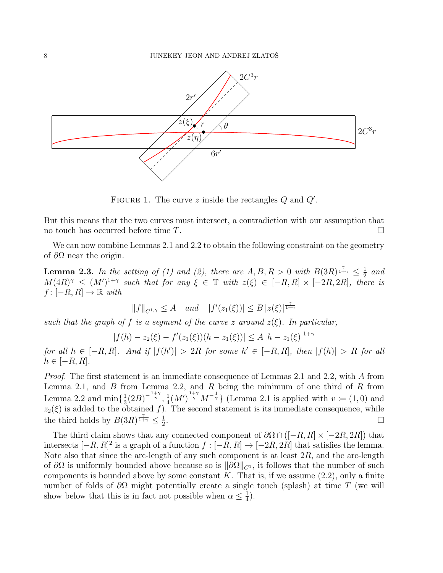

<span id="page-7-0"></span>FIGURE 1. The curve z inside the rectangles  $Q$  and  $Q'$ .

But this means that the two curves must intersect, a contradiction with our assumption that no touch has occurred before time  $T$ .

We can now combine Lemmas [2.1](#page-6-0) and [2.2](#page-6-3) to obtain the following constraint on the geometry of  $\partial\Omega$  near the origin.

<span id="page-7-1"></span>**Lemma 2.3.** In the setting of (1) and (2), there are  $A, B, R > 0$  with  $B(3R)^{\frac{\gamma}{1+\gamma}} \leq \frac{1}{2}$  $rac{1}{2}$  and  $M(4R)^{\gamma} \leq (M')^{1+\gamma}$  such that for any  $\xi \in \mathbb{T}$  with  $z(\xi) \in [-R, R] \times [-2R, 2R]$ , there is  $f : [-R, R] \to \mathbb{R}$  with

$$
||f||_{C^{1,\gamma}} \le A \quad \text{and} \quad |f'(z_1(\xi))| \le B |z(\xi)|^{\frac{\gamma}{1+\gamma}}
$$

such that the graph of f is a segment of the curve z around  $z(\xi)$ . In particular,

$$
|f(h) - z_2(\xi) - f'(z_1(\xi))(h - z_1(\xi))| \le A |h - z_1(\xi)|^{1+\gamma}
$$

for all  $h \in [-R, R]$ . And if  $|f(h')| > 2R$  for some  $h' \in [-R, R]$ , then  $|f(h)| > R$  for all  $h \in [-R, R].$ 

Proof. The first statement is an immediate consequence of Lemmas [2.1](#page-6-0) and [2.2,](#page-6-3) with A from Lemma [2.1,](#page-6-0) and  $B$  from Lemma [2.2,](#page-6-3) and  $R$  being the minimum of one third of  $R$  from Lemma [2.2](#page-6-3) and  $\min\{\frac{1}{3}\}$  $\frac{1}{3}(2B)^{-\frac{1+\gamma}{\gamma}}, \frac{1}{4}$  $\frac{1}{4}(M')^{\frac{1+\gamma}{\gamma}}M^{-\frac{1}{\gamma}}$  (Lemma [2.1](#page-6-0) is applied with  $v \coloneqq (1,0)$  and  $z_2(\xi)$  is added to the obtained f). The second statement is its immediate consequence, while the third holds by  $B(3R)^{\frac{\gamma}{1+\gamma}} \leq \frac{1}{2}$ 2 .

The third claim shows that any connected component of  $\partial\Omega \cap ([-R, R] \times [-2R, 2R])$  that intersects  $[-R, R]^2$  is a graph of a function  $f : [-R, R] \to [-2R, 2R]$  that satisfies the lemma. Note also that since the arc-length of any such component is at least  $2R$ , and the arc-length of  $\partial\Omega$  is uniformly bounded above because so is  $\|\partial\Omega\|_{C^1}$ , it follows that the number of such components is bounded above by some constant K. That is, if we assume  $(2.2)$ , only a finite number of folds of  $\partial\Omega$  might potentially create a single touch (splash) at time T (we will show below that this is in fact not possible when  $\alpha \leq \frac{1}{4}$  $(\frac{1}{4})$ .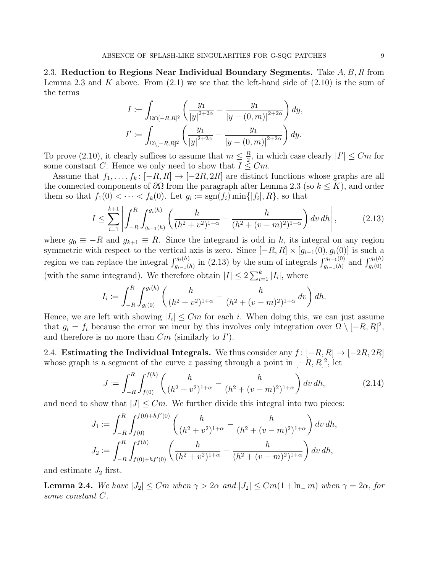<span id="page-8-1"></span>2.3. Reduction to Regions Near Individual Boundary Segments. Take  $A, B, R$  from Lemma [2.3](#page-7-1) and K above. From  $(2.1)$  we see that the left-hand side of  $(2.10)$  is the sum of the terms

$$
I := \int_{\Omega \cap [-R,R]^2} \left( \frac{y_1}{|y|^{2+2\alpha}} - \frac{y_1}{|y - (0,m)|^{2+2\alpha}} \right) dy,
$$
  

$$
I' := \int_{\Omega \setminus [-R,R]^2} \left( \frac{y_1}{|y|^{2+2\alpha}} - \frac{y_1}{|y - (0,m)|^{2+2\alpha}} \right) dy.
$$

To prove [\(2.10\)](#page-6-4), it clearly suffices to assume that  $m \leq \frac{R}{2}$  $\frac{R}{2}$ , in which case clearly  $|I'| \leq Cm$  for some constant C. Hence we only need to show that  $I \leq Cm$ .

Assume that  $f_1, \ldots, f_k : [-R, R] \to [-2R, 2R]$  are distinct functions whose graphs are all the connected components of  $\partial\Omega$  from the paragraph after Lemma [2.3](#page-7-1) (so  $k \leq K$ ), and order them so that  $f_1(0) < \cdots < f_k(0)$ . Let  $g_i \coloneqq \text{sgn}(f_i) \min\{|f_i|, R\}$ , so that

<span id="page-8-0"></span>
$$
I \le \sum_{i=1}^{k+1} \left| \int_{-R}^{R} \int_{g_{i-1}(h)}^{g_i(h)} \left( \frac{h}{(h^2 + v^2)^{1+\alpha}} - \frac{h}{(h^2 + (v - m)^2)^{1+\alpha}} \right) dv \, dh \right|, \tag{2.13}
$$

where  $g_0 \equiv -R$  and  $g_{k+1} \equiv R$ . Since the integrand is odd in h, its integral on any region symmetric with respect to the vertical axis is zero. Since  $[-R, R] \times [g_{i-1}(0), g_i(0)]$  is such a region we can replace the integral  $\int_{g_{i-1}(h)}^{g_i(h)}$  in [\(2.13\)](#page-8-0) by the sum of integrals  $\int_{g_{i-1}(h)}^{g_{i-1}(0)}$  and  $\int_{g_i(0)}^{g_i(h)}$ (with the same integrand). We therefore obtain  $|I| \leq 2 \sum_{i=1}^{k} |I_i|$ , where

$$
I_i := \int_{-R}^{R} \int_{g_i(0)}^{g_i(h)} \left( \frac{h}{(h^2 + v^2)^{1+\alpha}} - \frac{h}{(h^2 + (v - m)^2)^{1+\alpha}} dv \right) dh.
$$

Hence, we are left with showing  $|I_i| \leq Cm$  for each i. When doing this, we can just assume that  $g_i = f_i$  because the error we incur by this involves only integration over  $\Omega \setminus [-R, R]^2$ , and therefore is no more than  $Cm$  (similarly to  $I'$ ).

2.4. Estimating the Individual Integrals. We thus consider any  $f : [-R, R] \rightarrow [-2R, 2R]$ whose graph is a segment of the curve z passing through a point in  $[-R, R]^2$ , let

<span id="page-8-3"></span>
$$
J := \int_{-R}^{R} \int_{f(0)}^{f(h)} \left( \frac{h}{(h^2 + v^2)^{1+\alpha}} - \frac{h}{(h^2 + (v - m)^2)^{1+\alpha}} \right) dv \, dh,\tag{2.14}
$$

and need to show that  $|J| \leq Cm$ . We further divide this integral into two pieces:

$$
J_1 := \int_{-R}^{R} \int_{f(0)}^{f(0) + hf'(0)} \left( \frac{h}{(h^2 + v^2)^{1+\alpha}} - \frac{h}{(h^2 + (v - m)^2)^{1+\alpha}} \right) dv dh,
$$
  

$$
J_2 := \int_{-R}^{R} \int_{f(0) + hf'(0)}^{f(h)} \left( \frac{h}{(h^2 + v^2)^{1+\alpha}} - \frac{h}{(h^2 + (v - m)^2)^{1+\alpha}} \right) dv dh,
$$

and estimate  $J_2$  first.

<span id="page-8-2"></span>**Lemma 2.4.** We have  $|J_2| \leq Cm$  when  $\gamma > 2\alpha$  and  $|J_2| \leq Cm(1 + \ln m)$  when  $\gamma = 2\alpha$ , for some constant C.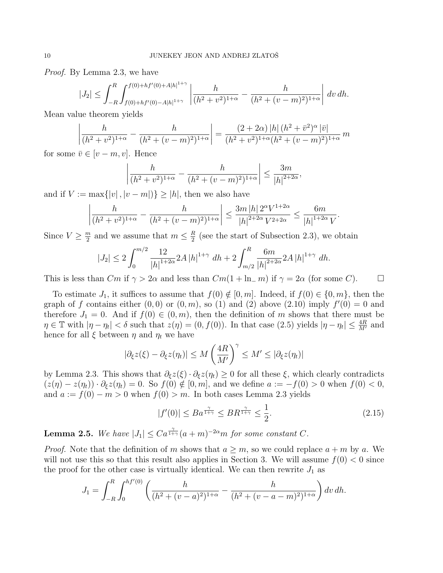Proof. By Lemma [2.3,](#page-7-1) we have

$$
|J_2| \le \int_{-R}^R \int_{f(0)+hf'(0)-A|h|^{1+\gamma}}^{f(0)+hf'(0)+A|h|^{1+\gamma}} \left| \frac{h}{(h^2+v^2)^{1+\alpha}} - \frac{h}{(h^2+(v-m)^2)^{1+\alpha}} \right| dv \, dh.
$$

Mean value theorem yields

$$
\left| \frac{h}{(h^2 + v^2)^{1+\alpha}} - \frac{h}{(h^2 + (v - m)^2)^{1+\alpha}} \right| = \frac{(2+2\alpha) |h| (h^2 + \bar{v}^2)^{\alpha} |\bar{v}|}{(h^2 + v^2)^{1+\alpha} (h^2 + (v - m)^2)^{1+\alpha}} m
$$

for some  $\bar{v} \in [v - m, v]$ . Hence

$$
\left| \frac{h}{(h^2 + v^2)^{1+\alpha}} - \frac{h}{(h^2 + (v - m)^2)^{1+\alpha}} \right| \le \frac{3m}{|h|^{2+2\alpha}},
$$

and if  $V := \max\{|v|, |v - m|\}\geq |h|$ , then we also have

$$
\left| \frac{h}{(h^2 + v^2)^{1+\alpha}} - \frac{h}{(h^2 + (v - m)^2)^{1+\alpha}} \right| \le \frac{3m |h| 2^{\alpha} V^{1+2\alpha}}{|h|^{2+2\alpha} V^{2+2\alpha}} \le \frac{6m}{|h|^{1+2\alpha} V}.
$$

Since  $V \geq \frac{m}{2}$  $\frac{m}{2}$  and we assume that  $m \leq \frac{R}{2}$  $\frac{R}{2}$  (see the start of Subsection [2.3\)](#page-8-1), we obtain

$$
|J_2| \le 2 \int_0^{m/2} \frac{12}{|h|^{1+2\alpha}} 2A |h|^{1+\gamma} dh + 2 \int_{m/2}^R \frac{6m}{|h|^{2+2\alpha}} 2A |h|^{1+\gamma} dh.
$$

This is less than  $Cm$  if  $\gamma > 2\alpha$  and less than  $Cm(1 + \ln_{-} m)$  if  $\gamma = 2\alpha$  (for some C).

To estimate  $J_1$ , it suffices to assume that  $f(0) \notin [0, m]$ . Indeed, if  $f(0) \in \{0, m\}$ , then the graph of f contains either  $(0,0)$  or  $(0,m)$ , so (1) and (2) above [\(2.10\)](#page-6-4) imply  $f'(0) = 0$  and therefore  $J_1 = 0$ . And if  $f(0) \in (0, m)$ , then the definition of m shows that there must be  $\eta \in \mathbb{T}$  with  $|\eta - \eta_t| < \delta$  such that  $z(\eta) = (0, f(0))$ . In that case [\(2.5\)](#page-5-3) yields  $|\eta - \eta_t| \leq \frac{4R}{M'}$  and hence for all  $\xi$  between  $\eta$  and  $\eta_t$  we have

$$
|\partial_{\xi} z(\xi) - \partial_{\xi} z(\eta_t)| \le M \left(\frac{4R}{M'}\right)^{\gamma} \le M' \le |\partial_{\xi} z(\eta_t)|
$$

by Lemma [2.3.](#page-7-1) This shows that  $\partial_{\xi}z(\xi) \cdot \partial_{\xi}z(\eta_t) \geq 0$  for all these  $\xi$ , which clearly contradicts  $(z(\eta) - z(\eta_t)) \cdot \partial_{\xi} z(\eta_t) = 0$ . So  $f(0) \notin [0, m]$ , and we define  $a := -f(0) > 0$  when  $f(0) < 0$ , and  $a := f(0) - m > 0$  when  $f(0) > m$ . In both cases Lemma [2.3](#page-7-1) yields

<span id="page-9-1"></span>
$$
|f'(0)| \le Ba^{\frac{\gamma}{1+\gamma}} \le BR^{\frac{\gamma}{1+\gamma}} \le \frac{1}{2}.\tag{2.15}
$$

<span id="page-9-0"></span>**Lemma 2.5.** We have  $|J_1| \leq Ca^{\frac{\gamma}{1+\gamma}}(a+m)^{-2\alpha}m$  for some constant C.

*Proof.* Note that the definition of m shows that  $a \geq m$ , so we could replace  $a + m$  by a. We will not use this so that this result also applies in Section [3.](#page-11-0) We will assume  $f(0) < 0$  since the proof for the other case is virtually identical. We can then rewrite  $J_1$  as

$$
J_1 = \int_{-R}^{R} \int_0^{hf'(0)} \left( \frac{h}{(h^2 + (v-a)^2)^{1+\alpha}} - \frac{h}{(h^2 + (v-a-m)^2)^{1+\alpha}} \right) dv \, dh.
$$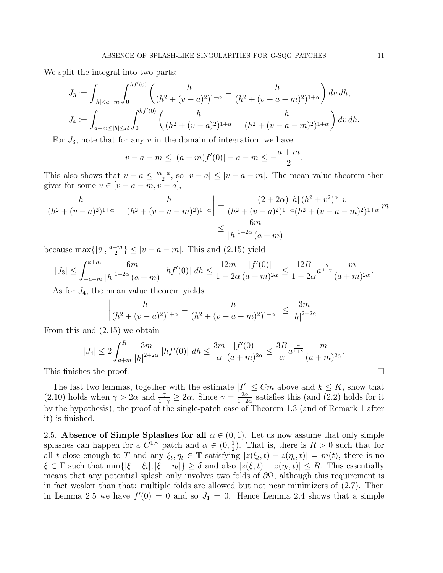We split the integral into two parts:

$$
J_3 := \int_{|h| < a+m} \int_0^{hf'(0)} \left( \frac{h}{(h^2 + (v - a)^2)^{1+\alpha}} - \frac{h}{(h^2 + (v - a - m)^2)^{1+\alpha}} \right) dv \, dh,
$$
\n
$$
J_4 := \int_{a+m \le |h| \le R} \int_0^{hf'(0)} \left( \frac{h}{(h^2 + (v - a)^2)^{1+\alpha}} - \frac{h}{(h^2 + (v - a - m)^2)^{1+\alpha}} \right) dv \, dh.
$$

For  $J_3$ , note that for any v in the domain of integration, we have

$$
v - a - m \le |(a+m)f'(0)| - a - m \le -\frac{a+m}{2}
$$

.

This also shows that  $v - a \leq \frac{m-a}{2}$  $\frac{-a}{2}$ , so  $|v - a| \leq |v - a - m|$ . The mean value theorem then gives for some  $\bar{v} \in [v - a - m, v - a],$ 

$$
\left| \frac{h}{(h^2 + (v - a)^2)^{1+\alpha}} - \frac{h}{(h^2 + (v - a - m)^2)^{1+\alpha}} \right| = \frac{(2+2\alpha) |h| (h^2 + \bar{v}^2)^{\alpha} |\bar{v}|}{(h^2 + (v - a)^2)^{1+\alpha} (h^2 + (v - a - m)^2)^{1+\alpha}} m
$$
  

$$
\leq \frac{6m}{|h|^{1+2\alpha} (a + m)}
$$

because max $\{|\bar{v}|, \frac{a+m}{2}\}$  $\left\lfloor \frac{2m}{2} \right\rfloor \leq |v - a - m|$ . This and [\(2.15\)](#page-9-1) yield

$$
|J_3| \le \int_{-a-m}^{a+m} \frac{6m}{|h|^{1+2\alpha} (a+m)} |hf'(0)| |dh \le \frac{12m}{1-2\alpha} \frac{|f'(0)|}{(a+m)^{2\alpha}} \le \frac{12B}{1-2\alpha} a^{\frac{\gamma}{1+\gamma}} \frac{m}{(a+m)^{2\alpha}}.
$$

As for  $J_4$ , the mean value theorem yields

$$
\left| \frac{h}{(h^2 + (v - a)^2)^{1+\alpha}} - \frac{h}{(h^2 + (v - a - m)^2)^{1+\alpha}} \right| \le \frac{3m}{|h|^{2+2\alpha}}.
$$

From this and [\(2.15\)](#page-9-1) we obtain

$$
|J_4| \le 2 \int_{a+m}^R \frac{3m}{|h|^{2+2\alpha}} |hf'(0)| dh \le \frac{3m}{\alpha} \frac{|f'(0)|}{(a+m)^{2\alpha}} \le \frac{3B}{\alpha} a^{\frac{\gamma}{1+\gamma}} \frac{m}{(a+m)^{2\alpha}}.
$$
  
This finishes the proof.

The last two lemmas, together with the estimate  $|I'| \leq Cm$  above and  $k \leq K$ , show that [\(2.10\)](#page-6-4) holds when  $\gamma > 2\alpha$  and  $\frac{\gamma}{1+\gamma} \geq 2\alpha$ . Since  $\gamma = \frac{2\alpha}{1-2\gamma}$  $\frac{2\alpha}{1-2\alpha}$  satisfies this (and [\(2.2\)](#page-4-1) holds for it by the hypothesis), the proof of the single-patch case of Theorem [1.3](#page-3-2) (and of Remark 1 after it) is finished.

<span id="page-10-0"></span>2.5. Absence of Simple Splashes for all  $\alpha \in (0,1)$ . Let us now assume that only simple splashes can happen for a  $C^{1,\gamma}$  patch and  $\alpha \in (0, \frac{1}{2})$  $(\frac{1}{2})$ . That is, there is  $R > 0$  such that for all t close enough to T and any  $\xi_t, \eta_t \in \mathbb{T}$  satisfying  $|z(\xi_t, t) - z(\eta_t, t)| = m(t)$ , there is no  $\xi \in \mathbb{T}$  such that  $\min\{|\xi - \xi_t|, |\xi - \eta_t|\} \ge \delta$  and also  $|z(\xi, t) - z(\eta_t, t)| \le R$ . This essentially means that any potential splash only involves two folds of  $\partial\Omega$ , although this requirement is in fact weaker than that: multiple folds are allowed but not near minimizers of [\(2.7\)](#page-5-5). Then in Lemma [2.5](#page-9-0) we have  $f'(0) = 0$  and so  $J_1 = 0$ . Hence Lemma [2.4](#page-8-2) shows that a simple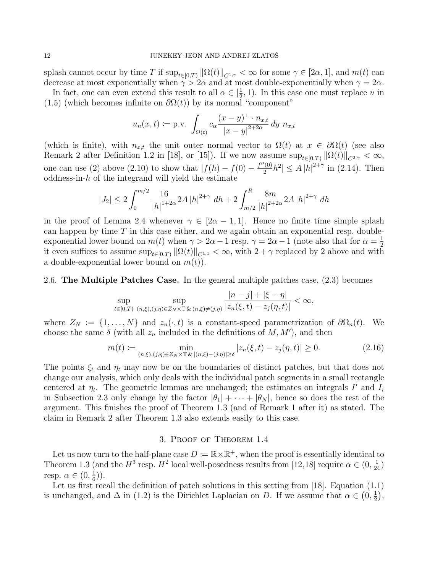splash cannot occur by time T if  $\sup_{t\in[0,T)} \|\Omega(t)\|_{C^{1,\gamma}} < \infty$  for some  $\gamma \in [2\alpha,1]$ , and  $m(t)$  can decrease at most exponentially when  $\gamma > 2\alpha$  and at most double-exponentially when  $\gamma = 2\alpha$ .

In fact, one can even extend this result to all  $\alpha \in \left[\frac{1}{2}\right]$  $(\frac{1}{2}, 1)$ . In this case one must replace u in [\(1.5\)](#page-3-0) (which becomes infinite on  $\partial \Omega(t)$ ) by its normal "component"

$$
u_n(x,t) := \text{p.v.} \int_{\Omega(t)} c_{\alpha} \frac{(x-y)^{\perp} \cdot n_{x,t}}{|x-y|^{2+2\alpha}} dy \ n_{x,t}
$$

(which is finite), with  $n_{x,t}$  the unit outer normal vector to  $\Omega(t)$  at  $x \in \partial \Omega(t)$  (see also Remark 2 after Definition 1.2 in [\[18\]](#page-13-3), or [\[15\]](#page-13-1)). If we now assume  $\sup_{t\in[0,T)} ||\Omega(t)||_{C^{2,\gamma}} < \infty$ , one can use (2) above [\(2.10\)](#page-6-4) to show that  $|f(h) - f(0) - \frac{f''(0)}{2}\rangle$  $\frac{1}{2}[b^2] \leq A |h|^{2+\gamma}$  in [\(2.14\)](#page-8-3). Then oddness-in- $h$  of the integrand will yield the estimate

$$
|J_2| \le 2 \int_0^{m/2} \frac{16}{|h|^{1+2\alpha}} 2A |h|^{2+\gamma} dh + 2 \int_{m/2}^R \frac{8m}{|h|^{2+2\alpha}} 2A |h|^{2+\gamma} dh
$$

in the proof of Lemma [2.4](#page-8-2) whenever  $\gamma \in [2\alpha - 1, 1]$ . Hence no finite time simple splash can happen by time  $T$  in this case either, and we again obtain an exponential resp. doubleexponential lower bound on  $m(t)$  when  $\gamma > 2\alpha - 1$  resp.  $\gamma = 2\alpha - 1$  (note also that for  $\alpha = \frac{1}{2}$ ) 2 it even suffices to assume  $\sup_{t\in[0,T)} \|\Omega(t)\|_{C^{1,1}} < \infty$ , with  $2+\gamma$  replaced by 2 above and with a double-exponential lower bound on  $m(t)$ ).

2.6. The Multiple Patches Case. In the general multiple patches case, [\(2.3\)](#page-5-1) becomes

$$
\sup_{t \in [0,T)} \sup_{(n,\xi), (j,\eta) \in Z_N \times \mathbb{T} \& (n,\xi) \neq (j,\eta)} \frac{|n-j| + |\xi - \eta|}{|z_n(\xi,t) - z_j(\eta,t)|} < \infty,
$$

where  $Z_N := \{1, \ldots, N\}$  and  $z_n(\cdot, t)$  is a constant-speed parametrization of  $\partial \Omega_n(t)$ . We choose the same  $\delta$  (with all  $z_n$  included in the definitions of  $M, M'$ ), and then

<span id="page-11-1"></span>
$$
m(t) := \min_{(n,\xi),(j,\eta)\in Z_N\times\mathbb{T}\&|(n,\xi)-(j,\eta)|\geq \delta} |z_n(\xi,t) - z_j(\eta,t)| \geq 0.
$$
 (2.16)

The points  $\xi_t$  and  $\eta_t$  may now be on the boundaries of distinct patches, but that does not change our analysis, which only deals with the individual patch segments in a small rectangle centered at  $\eta_t$ . The geometric lemmas are unchanged; the estimates on integrals I' and  $I_i$ in Subsection [2.3](#page-8-1) only change by the factor  $|\theta_1| + \cdots + |\theta_N|$ , hence so does the rest of the argument. This finishes the proof of Theorem [1.3](#page-3-2) (and of Remark 1 after it) as stated. The claim in Remark 2 after Theorem [1.3](#page-3-2) also extends easily to this case.

### 3. Proof of Theorem [1.4](#page-4-0)

<span id="page-11-0"></span>Let us now turn to the half-plane case  $D := \mathbb{R} \times \mathbb{R}^+$ , when the proof is essentially identical to Theorem [1.3](#page-3-2) (and the  $H^3$  resp.  $H^2$  local well-posedness results from [\[12,](#page-12-11)[18\]](#page-13-3) require  $\alpha \in (0, \frac{1}{24})$ resp.  $\alpha \in (0, \frac{1}{6})$  $(\frac{1}{6})$ .

Let us first recall the definition of patch solutions in this setting from [\[18\]](#page-13-3). Equation [\(1.1\)](#page-0-0) is unchanged, and  $\Delta$  in [\(1.2\)](#page-0-1) is the Dirichlet Laplacian on D. If we assume that  $\alpha \in (0, \frac{1}{2})$  $\frac{1}{2}$ ,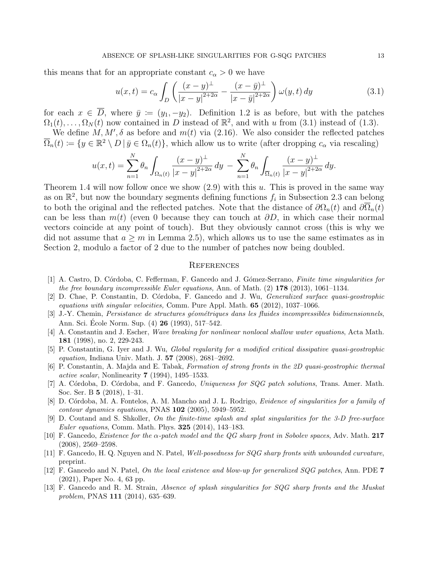this means that for an appropriate constant  $c_{\alpha} > 0$  we have

<span id="page-12-13"></span>
$$
u(x,t) = c_{\alpha} \int_{D} \left( \frac{(x-y)^{\perp}}{|x-y|^{2+2\alpha}} - \frac{(x-\bar{y})^{\perp}}{|x-\bar{y}|^{2+2\alpha}} \right) \omega(y,t) dy \tag{3.1}
$$

for each  $x \in \overline{D}$ , where  $\overline{y} := (y_1, -y_2)$ . Definition [1.2](#page-3-3) is as before, but with the patches  $\Omega_1(t), \ldots, \Omega_N(t)$  now contained in D instead of  $\mathbb{R}^2$ , and with u from [\(3.1\)](#page-12-13) instead of [\(1.3\)](#page-2-0).

We define M, M',  $\delta$  as before and  $m(t)$  via [\(2.16\)](#page-11-1). We also consider the reflected patches  $\overline{\Omega}_n(t) \coloneqq \{y \in \mathbb{R}^2 \setminus D \mid \overline{y} \in \Omega_n(t)\},\$  which allow us to write (after dropping  $c_{\alpha}$  via rescaling)

$$
u(x,t) = \sum_{n=1}^{N} \theta_n \int_{\Omega_n(t)} \frac{(x-y)^{\perp}}{|x-y|^{2+2\alpha}} dy - \sum_{n=1}^{N} \theta_n \int_{\overline{\Omega}_n(t)} \frac{(x-y)^{\perp}}{|x-y|^{2+2\alpha}} dy.
$$

Theorem [1.4](#page-4-0) will now follow once we show  $(2.9)$  with this u. This is proved in the same way as on  $\mathbb{R}^2$ , but now the boundary segments defining functions  $f_i$  in Subsection [2.3](#page-8-1) can belong to both the original and the reflected patches. Note that the distance of  $\partial\Omega_n(t)$  and  $\partial\overline{\Omega}_n(t)$ can be less than  $m(t)$  (even 0 because they can touch at  $\partial D$ , in which case their normal vectors coincide at any point of touch). But they obviously cannot cross (this is why we did not assume that  $a \geq m$  in Lemma [2.5\)](#page-9-0), which allows us to use the same estimates as in Section [2,](#page-4-3) modulo a factor of 2 due to the number of patches now being doubled.

### **REFERENCES**

- <span id="page-12-8"></span>[1] A. Castro, D. Córdoba, C. Fefferman, F. Gancedo and J. Gómez-Serrano, Finite time singularities for the free boundary incompressible Euler equations, Ann. of Math.  $(2)$  178 (2013), 1061–1134.
- <span id="page-12-1"></span>[2] D. Chae, P. Constantin, D. C´ordoba, F. Gancedo and J. Wu, Generalized surface quasi-geostrophic equations with singular velocities, Comm. Pure Appl. Math. 65 (2012), 1037–1066.
- <span id="page-12-5"></span>[3] J.-Y. Chemin, Persistance de structures géométriques dans les fluides incompressibles bidimensionnels, Ann. Sci. École Norm. Sup. (4) **26** (1993), 517–542.
- <span id="page-12-12"></span>[4] A. Constantin and J. Escher, Wave breaking for nonlinear nonlocal shallow water equations, Acta Math. 181 (1998), no. 2, 229-243.
- <span id="page-12-2"></span>[5] P. Constantin, G. Iyer and J. Wu, Global regularity for a modified critical dissipative quasi-geostrophic equation, Indiana Univ. Math. J. 57 (2008), 2681–2692.
- <span id="page-12-0"></span>[6] P. Constantin, A. Majda and E. Tabak, Formation of strong fronts in the 2D quasi-geostrophic thermal active scalar, Nonlinearity 7 (1994), 1495–1533.
- <span id="page-12-6"></span>[7] A. Córdoba, D. Córdoba, and F. Gancedo, Uniqueness for SQG patch solutions, Trans. Amer. Math. Soc. Ser. B 5 (2018), 1–31.
- <span id="page-12-3"></span>[8] D. Córdoba, M. A. Fontelos, A. M. Mancho and J. L. Rodrigo, Evidence of singularities for a family of contour dynamics equations, PNAS 102 (2005), 5949–5952.
- <span id="page-12-9"></span>[9] D. Coutand and S. Shkoller, On the finite-time splash and splat singularities for the 3-D free-surface Euler equations, Comm. Math. Phys. 325 (2014), 143–183.
- <span id="page-12-4"></span>[10] F. Gancedo, *Existence for the*  $\alpha$ *-patch model and the QG sharp front in Sobolev spaces*, Adv. Math. 217 (2008), 2569–2598.
- <span id="page-12-7"></span>[11] F. Gancedo, H. Q. Nguyen and N. Patel, Well-posedness for SQG sharp fronts with unbounded curvature, preprint.
- <span id="page-12-11"></span>[12] F. Gancedo and N. Patel, On the local existence and blow-up for generalized SQG patches, Ann. PDE 7 (2021), Paper No. 4, 63 pp.
- <span id="page-12-10"></span>[13] F. Gancedo and R. M. Strain, Absence of splash singularities for SQG sharp fronts and the Muskat problem, PNAS 111 (2014), 635–639.